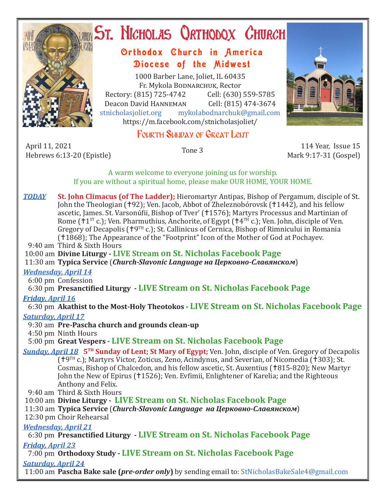

# **ST. NICHOLAS QRTHODOX CHURCH**

# Orthodox Church in America Diocese of the Midwest

1000 Barber Lane, Joliet, IL 60435 Fr. Mykola Bodnarchuk, Rector Rectory: (815) 725-4742 Cell: (630) 559-5785<br>Deacon David HANNEMAN Cell: (815) 474-3674 Deacon David HANNEMAN<br>stnicholasioliet.org mykola mykolabodnarchuk@gmail.com https://m.facebook.com/stnicholasjoliet/

# FOURTH SUNDAY OF GREAT LENT

April 11, 2021 April 11, 2021 114 Year, Issue 15<br>Hebrews 6:13-20 (Epistle) Tone 3 114 Year, Issue 15

Mark 9:17-31 (Gospel)

A warm welcome to everyone joining us for worship. If you are without a spiritual home, please make OUR HOME, YOUR HOME.

*TODAY* **St. John Climacus (of The Ladder);** Hieromartyr Antipas, Bishop of Pergamum, disciple of St. John the Theologian (†92); Ven. Jacob, Abbot of Zheleznobórovsk (†1442), and his fellow ascetic, James. St. Varsonúfii, Bishop of Tver' (†1576); Martyrs Processus and Martinian of Rome ( $1^{ST}$  c.); Ven. Pharmuthius, Anchorite, of Egypt ( $1^{4}$ <sup>TH</sup> c.); Ven. John, disciple of Ven. Gregory of Decapolis ( $\uparrow$ 9TH c.); St. Callinicus of Cernica, Bishop of Rimnicului in Romania (†1868); The Appearance of the "Footprint" Icon of the Mother of God at Pochayev.

9:40 am Third & Sixth Hours

10:00 am **Divine Liturgy - LIVE Stream on St. Nicholas Facebook Page**

11:30 am **Typica Service** (*Church-Slavonic Language на Церковно-Славянском*)

## *Wednesday, April 14*

6:00 pm Confession

6:30 pm **Presanctified Liturgy - LIVE Stream on St. Nicholas Facebook Page**

# *Friday, April 16*

6:30 pm **Akathist to the Most-Holy Theotokos - LIVE Stream on St. Nicholas Facebook Page**

## *Saturday, April 17*

9:30 am **Pre-Pascha church and grounds clean-up**

4:50 pm Ninth Hours

5:00 pm **Great Vespers - LIVE Stream on St. Nicholas Facebook Page**

*Sunday, April 18* **5TH Sunday of Lent; St Mary of Egypt;** Ven. John, disciple of Ven. Gregory of Decapolis  $(19^{TH}$  c.); Martyrs Victor, Zoticus, Zeno, Acindynus, and Severian, of Nicomedia (1303); St. Cosmas, Bishop of Chalcedon, and his fellow ascetic, St. Auxentius (†815-820); New Martyr John the New of Epirus (†1526); Ven. Evfimii, Enlightener of Karelia; and the Righteous Anthony and Felix.

9:40 am Third & Sixth Hours

10:00 am **Divine Liturgy - LIVE Stream on St. Nicholas Facebook Page**

11:30 am **Typica Service** (*Church-Slavonic Language на Церковно-Славянском*)

12:30 pm Choir Rehearsal

*Wednesday, April 21* 

6:30 pm **Presanctified Liturgy - LIVE Stream on St. Nicholas Facebook Page**

*Friday, April 23* 

7:00 pm **Orthodoxy Study - LIVE Stream on St. Nicholas Facebook Page**

*Saturday, April 24*

11:00 am **Pascha Bake sale (***pre-order only***)** by sending email to: StNicholasBakeSale4@gmail.com